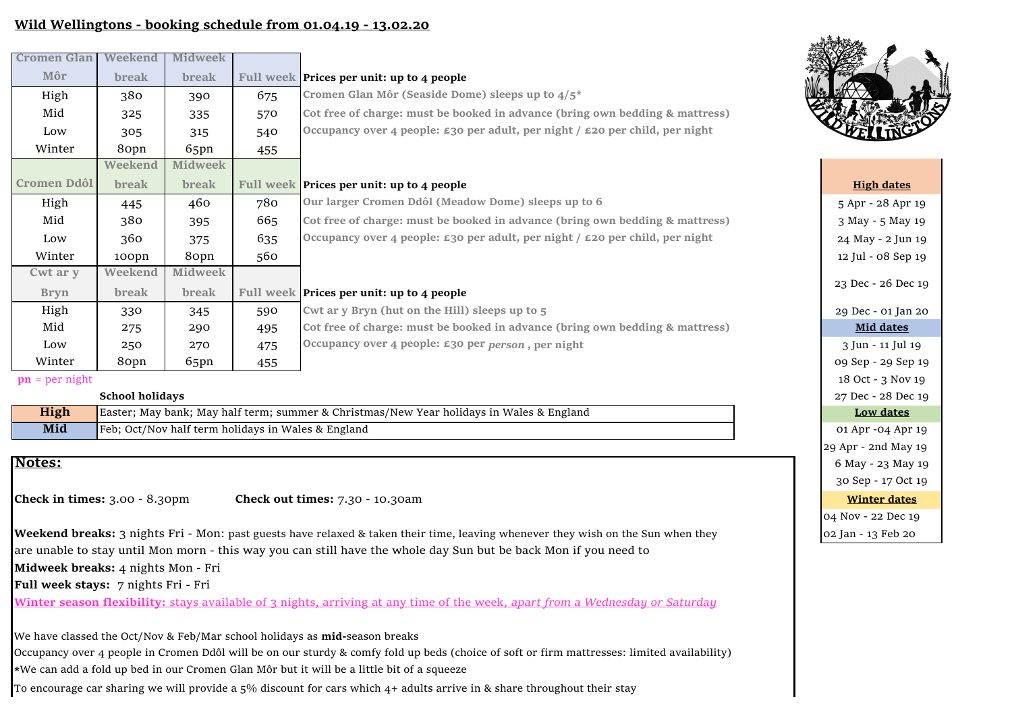# **Wild Wellingtons - booking schedule from 01.04.19 - 13.02.20**

| <b>Cromen Glan</b>           | Weekend      | Midweek        |     |                                                                                                  |                      |
|------------------------------|--------------|----------------|-----|--------------------------------------------------------------------------------------------------|----------------------|
| Môr                          | break        | break          |     | Full week <b>Prices per unit: up to 4 people</b>                                                 |                      |
| High                         | 380          | 390            | 675 | Cromen Glan Môr (Seaside Dome) sleeps up to $4/5^*$                                              |                      |
| Mid                          | 325          | 335            | 570 | Cot free of charge: must be booked in advance (bring own bedding & mattress)                     |                      |
| Low                          | 305          | 315            | 540 | Occupancy over 4 people: $\epsilon$ 30 per adult, per night / $\epsilon$ 20 per child, per night |                      |
| Winter                       | 80pn         | 65pn           | 455 |                                                                                                  |                      |
|                              | Weekend      | <b>Midweek</b> |     |                                                                                                  |                      |
| Cromen Ddôl                  | <b>break</b> | break          |     | Full week Prices per unit: up to 4 people                                                        | <b>High dates</b>    |
| High                         | 445          | 460            | 780 | Our larger Cromen Ddôl (Meadow Dome) sleeps up to 6                                              | 5 Apr - 28 Apr       |
| Mid                          | 380          | 395            | 665 | Cot free of charge: must be booked in advance (bring own bedding & mattress)                     | 3 May - 5 May        |
| Low                          | 360          | 375            | 635 | Occupancy over 4 people: $\epsilon$ 30 per adult, per night / $\epsilon$ 20 per child, per night | 24 May - 2 Jun       |
| Winter                       | 100pn        | 80pn           | 560 |                                                                                                  | 12 Jul - 08 Sep      |
| Cwt ar y                     | Weekend      | <b>Midweek</b> |     |                                                                                                  |                      |
| <b>Bryn</b>                  | break        | break          |     | Full week <b>Prices per unit: up to 4 people</b>                                                 | 23 Dec - 26 De       |
| High                         | 330          | 345            | 590 | Cwt ar y Bryn (hut on the Hill) sleeps up to 5                                                   | 29 Dec - 01 Jan      |
| Mid                          | 275          | 290            | 495 | Cot free of charge: must be booked in advance (bring own bedding & mattress)                     | <b>Mid dates</b>     |
| Low                          | 250          | 270            | 475 | Occupancy over 4 people: £30 per person, per night                                               | 3 Jun - 11 Jul       |
| Winter                       | 80pn         | 65pn           | 455 |                                                                                                  | 09 Sep - 29 Sep      |
| $ma = n \cdot n \cdot \pi +$ |              |                |     |                                                                                                  | $10.0$ ot $2.3$ Move |

**pn** = per night

#### **School holidays**

| High | <b>Easter; May bank; May half term; summer &amp; Christmas/New Year holidays in Wales &amp; England</b> |  |  |  |  |  |
|------|---------------------------------------------------------------------------------------------------------|--|--|--|--|--|
| Mid  | Feb; Oct/Nov half term holidays in Wales & England                                                      |  |  |  |  |  |

## **Notes:**

**Check in times:** 3.00 - 8.30pm **Check out times:** 7.30 - 10.30am

**Weekend breaks:** 3 nights Fri - Mon: past guests have relaxed & taken their time, leaving whenever they wish on the Sun when they are unable to stay until Mon morn - this way you can still have the whole day Sun but be back Mon if you need to **Midweek breaks:** 4 nights Mon - Fri

**Full week stays:** 7 nights Fri - Fri

**Winter season flexibility:** stays available of 3 nights, arriving at any time of the week, *apart from a Wednesday or Saturday*

We have classed the Oct/Nov & Feb/Mar school holidays as **mid-**season breaks Occupancy over 4 people in Cromen Ddôl will be on our sturdy & comfy fold up beds (choice of soft or firm mattresses: limited availability) **\***We can add a fold up bed in our Cromen Glan Môr but it will be a little bit of a squeeze To encourage car sharing we will provide a  $5\%$  discount for cars which  $4+$  adults arrive in & share throughout their stay



| 5 Apr - 28 Apr 19   |  |  |  |  |  |
|---------------------|--|--|--|--|--|
| 3 May - 5 May 19    |  |  |  |  |  |
| 24 May - 2 Jun 19   |  |  |  |  |  |
| 12 Jul - 08 Sep 19  |  |  |  |  |  |
| 23 Dec - 26 Dec 19  |  |  |  |  |  |
| 29 Dec - 01 Jan 20  |  |  |  |  |  |
| <b>Mid dates</b>    |  |  |  |  |  |
| 3 Jun - 11 Jul 19   |  |  |  |  |  |
| 09 Sep - 29 Sep 19  |  |  |  |  |  |
| 18 Oct - 3 Nov 19   |  |  |  |  |  |
| 27 Dec - 28 Dec 19  |  |  |  |  |  |
| <b>Low dates</b>    |  |  |  |  |  |
| 01 Apr -04 Apr 19   |  |  |  |  |  |
| 29 Apr - 2nd May 19 |  |  |  |  |  |
| 6 May - 23 May 19   |  |  |  |  |  |
| 30 Sep - 17 Oct 19  |  |  |  |  |  |
| <b>Winter dates</b> |  |  |  |  |  |
| 04 Nov - 22 Dec 19  |  |  |  |  |  |
| 02 Jan - 13 Feb 20  |  |  |  |  |  |